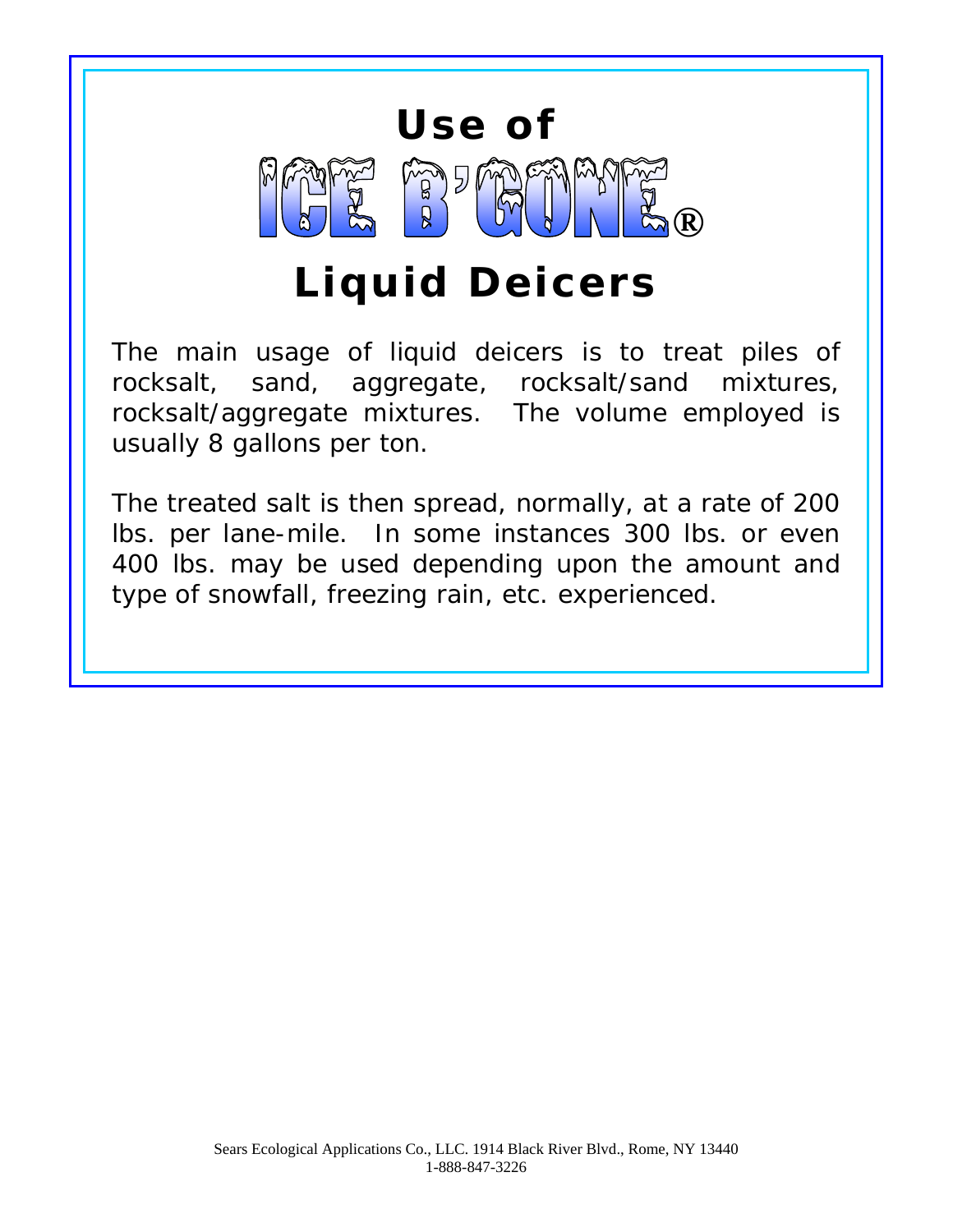# **Use of B** B CYFINS

# **Liquid Deicers**

The main usage of liquid deicers is to treat piles of rocksalt, sand, aggregate, rocksalt/sand mixtures, rocksalt/aggregate mixtures. The volume employed is usually 8 gallons per ton.

The treated salt is then spread, normally, at a rate of 200 lbs. per lane-mile. In some instances 300 lbs. or even 400 lbs. may be used depending upon the amount and type of snowfall, freezing rain, etc. experienced.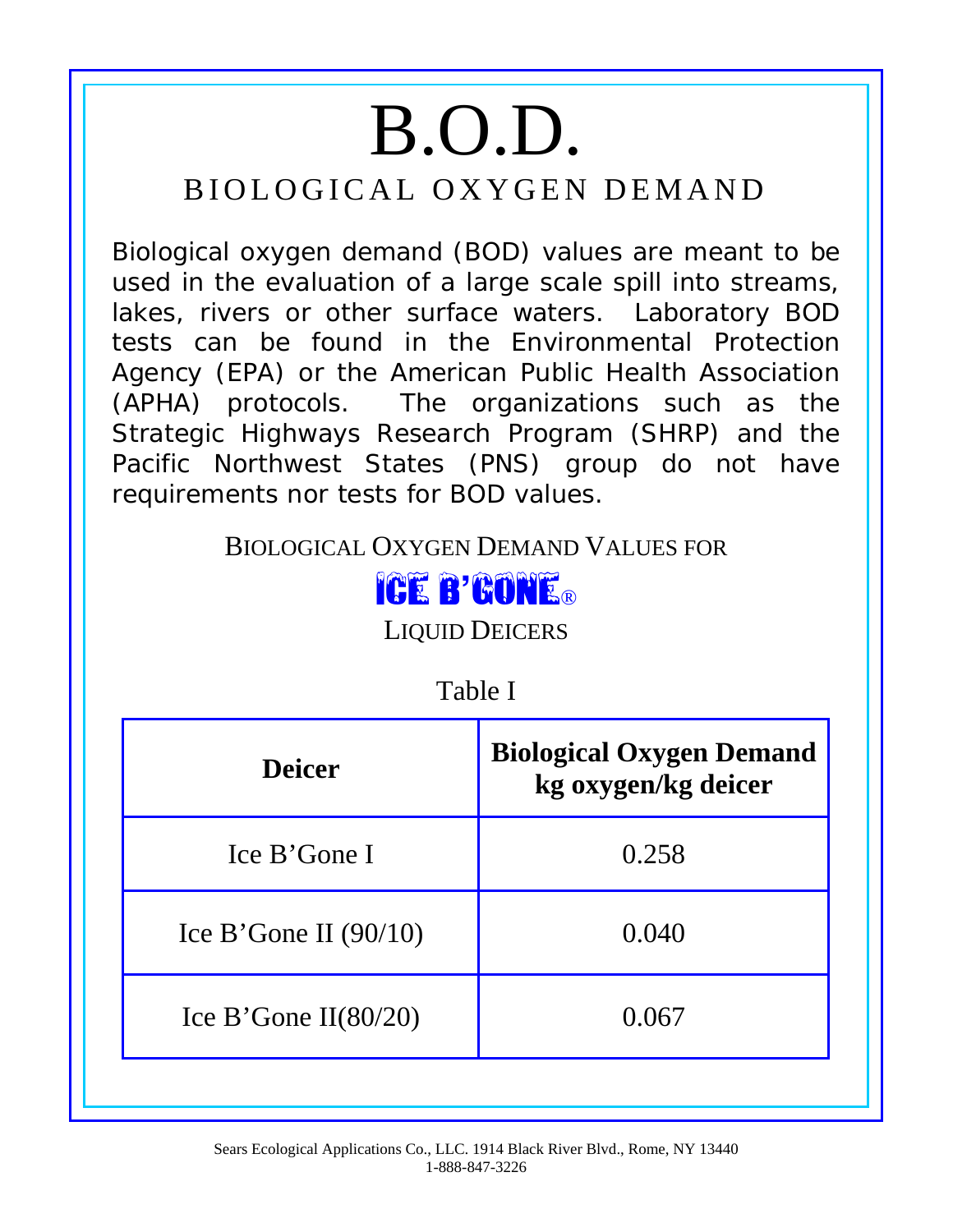# B.O.D. BIOLOGICAL OXYGEN DEMAND

Biological oxygen demand (BOD) values are meant to be used in the evaluation of a large scale spill into streams, lakes, rivers or other surface waters. Laboratory BOD tests can be found in the Environmental Protection Agency (EPA) or the American Public Health Association (APHA) protocols. The organizations such as the Strategic Highways Research Program (SHRP) and the Pacific Northwest States (PNS) group do not have requirements nor tests for BOD values.

BIOLOGICAL OXYGEN DEMAND VALUES FOR



LIQUID DEICERS

| Table I                 |                                                        |  |
|-------------------------|--------------------------------------------------------|--|
| <b>Deicer</b>           | <b>Biological Oxygen Demand</b><br>kg oxygen/kg deicer |  |
| Ice B'Gone I            | 0.258                                                  |  |
| Ice B'Gone II $(90/10)$ | 0.040                                                  |  |
| Ice B'Gone II $(80/20)$ | 0.067                                                  |  |
|                         |                                                        |  |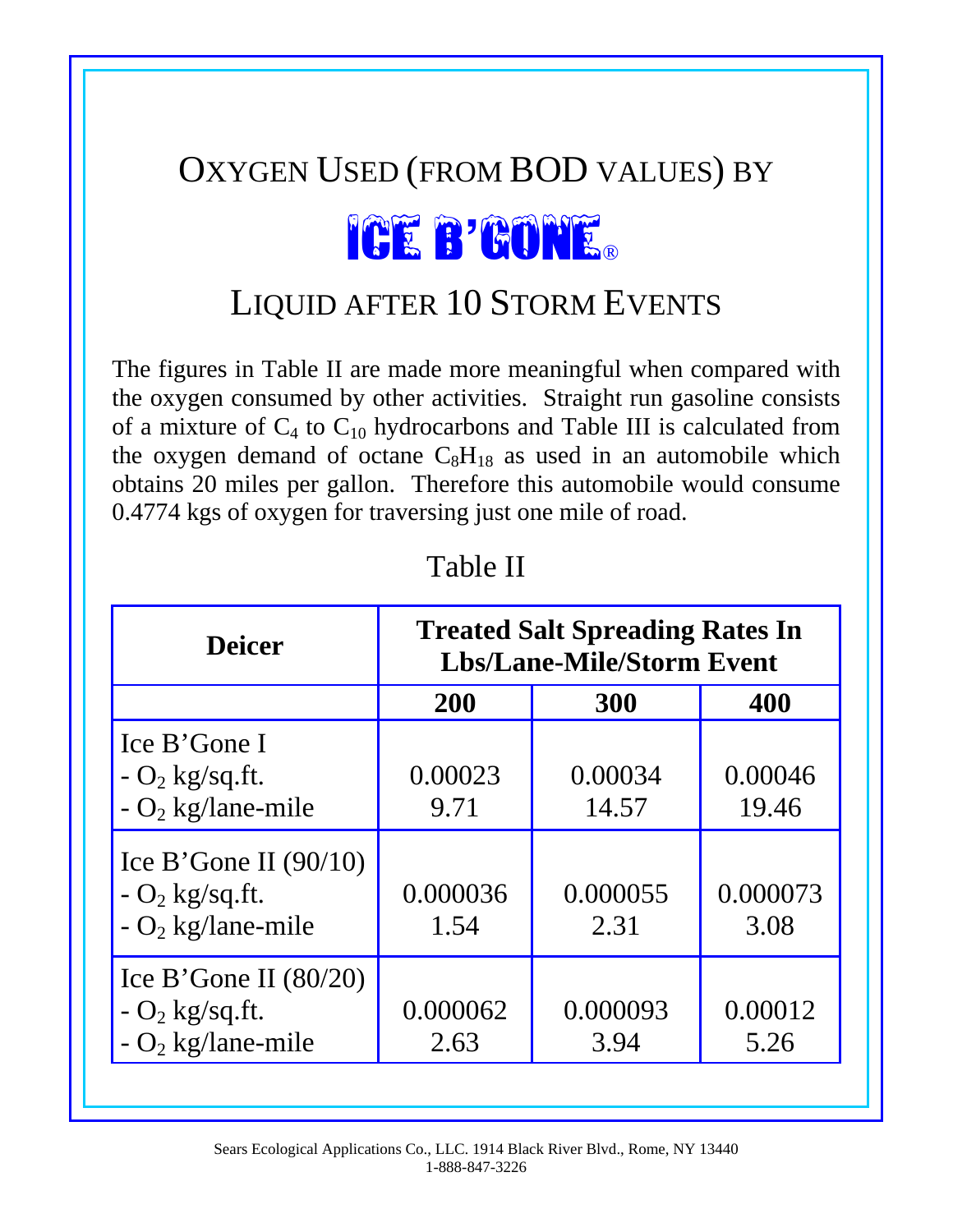#### OXYGEN USED (FROM BOD VALUES) BY

# ICE B'GONE®

### LIQUID AFTER 10 STORM EVENTS

The figures in Table II are made more meaningful when compared with the oxygen consumed by other activities. Straight run gasoline consists of a mixture of  $C_4$  to  $C_{10}$  hydrocarbons and Table III is calculated from the oxygen demand of octane  $C_8H_{18}$  as used in an automobile which obtains 20 miles per gallon. Therefore this automobile would consume 0.4774 kgs of oxygen for traversing just one mile of road.

| <b>Deicer</b>                                                                   | <b>Treated Salt Spreading Rates In</b><br><b>Lbs/Lane-Mile/Storm Event</b> |                  |                  |  |
|---------------------------------------------------------------------------------|----------------------------------------------------------------------------|------------------|------------------|--|
|                                                                                 | <b>200</b>                                                                 | 300              | 400              |  |
| Ice B'Gone I<br>$- O_2$ kg/sq.ft.<br>$- O_2$ kg/lane-mile                       | 0.00023<br>9.71                                                            | 0.00034<br>14.57 | 0.00046<br>19.46 |  |
| Ice B'Gone II $(90/10)$<br>$- O_2$ kg/sq.ft.<br>$-$ O <sub>2</sub> kg/lane-mile | 0.000036<br>1.54                                                           | 0.000055<br>2.31 | 0.000073<br>3.08 |  |
| Ice B'Gone II $(80/20)$<br>$- O_2$ kg/sq.ft.<br>- $O_2$ kg/lane-mile            | 0.000062<br>2.63                                                           | 0.000093<br>3.94 | 0.00012<br>5.26  |  |

Table II